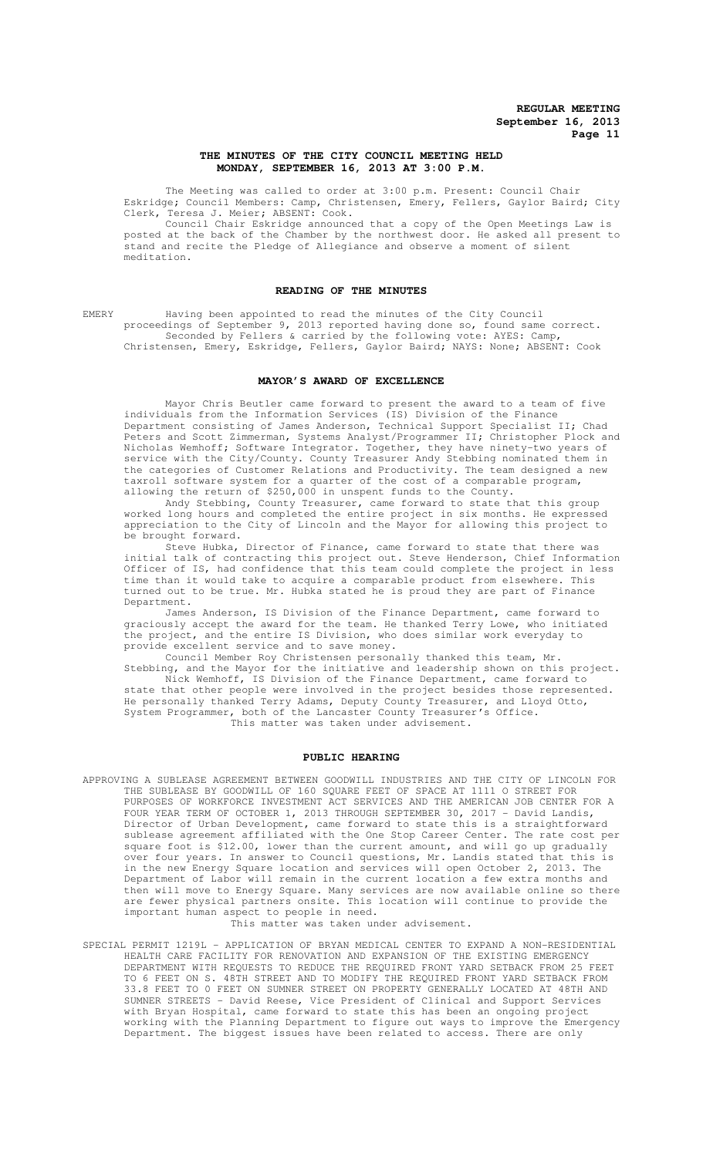## **THE MINUTES OF THE CITY COUNCIL MEETING HELD MONDAY, SEPTEMBER 16, 2013 AT 3:00 P.M.**

The Meeting was called to order at 3:00 p.m. Present: Council Chair Eskridge; Council Members: Camp, Christensen, Emery, Fellers, Gaylor Baird; City Clerk, Teresa J. Meier; ABSENT: Cook.

Council Chair Eskridge announced that a copy of the Open Meetings Law is posted at the back of the Chamber by the northwest door. He asked all present to stand and recite the Pledge of Allegiance and observe a moment of silent meditation.

## **READING OF THE MINUTES**

EMERY Having been appointed to read the minutes of the City Council proceedings of September 9, 2013 reported having done so, found same correct. Seconded by Fellers & carried by the following vote: AYES: Camp,

Christensen, Emery, Eskridge, Fellers, Gaylor Baird; NAYS: None; ABSENT: Cook

# **MAYOR'S AWARD OF EXCELLENCE**

Mayor Chris Beutler came forward to present the award to a team of five individuals from the Information Services (IS) Division of the Finance Department consisting of James Anderson, Technical Support Specialist II; Chad Peters and Scott Zimmerman, Systems Analyst/Programmer II; Christopher Plock and Nicholas Wemhoff; Software Integrator. Together, they have ninety-two years of service with the City/County. County Treasurer Andy Stebbing nominated them in the categories of Customer Relations and Productivity. The team designed a new taxroll software system for a quarter of the cost of a comparable program, allowing the return of \$250,000 in unspent funds to the County.

Andy Stebbing, County Treasurer, came forward to state that this group worked long hours and completed the entire project in six months. He expressed appreciation to the City of Lincoln and the Mayor for allowing this project to be brought forward.

Steve Hubka, Director of Finance, came forward to state that there was initial talk of contracting this project out. Steve Henderson, Chief Information Officer of IS, had confidence that this team could complete the project in less time than it would take to acquire a comparable product from elsewhere. This turned out to be true. Mr. Hubka stated he is proud they are part of Finance Department.

James Anderson, IS Division of the Finance Department, came forward to graciously accept the award for the team. He thanked Terry Lowe, who initiated the project, and the entire IS Division, who does similar work everyday to provide excellent service and to save money.

Council Member Roy Christensen personally thanked this team, Mr. Stebbing, and the Mayor for the initiative and leadership shown on this project. Nick Wemhoff, IS Division of the Finance Department, came forward to state that other people were involved in the project besides those represented. He personally thanked Terry Adams, Deputy County Treasurer, and Lloyd Otto, System Programmer, both of the Lancaster County Treasurer's Office. This matter was taken under advisement.

## **PUBLIC HEARING**

APPROVING A SUBLEASE AGREEMENT BETWEEN GOODWILL INDUSTRIES AND THE CITY OF LINCOLN FOR THE SUBLEASE BY GOODWILL OF 160 SQUARE FEET OF SPACE AT 1111 O STREET FOR PURPOSES OF WORKFORCE INVESTMENT ACT SERVICES AND THE AMERICAN JOB CENTER FOR A FOUR YEAR TERM OF OCTOBER 1, 2013 THROUGH SEPTEMBER 30, 2017 - David Landis, Director of Urban Development, came forward to state this is a straightforward sublease agreement affiliated with the One Stop Career Center. The rate cost per square foot is \$12.00, lower than the current amount, and will go up gradually over four years. In answer to Council questions, Mr. Landis stated that this is in the new Energy Square location and services will open October 2, 2013. The Department of Labor will remain in the current location a few extra months and then will move to Energy Square. Many services are now available online so there are fewer physical partners onsite. This location will continue to provide the important human aspect to people in need.

This matter was taken under advisement.

SPECIAL PERMIT 1219L – APPLICATION OF BRYAN MEDICAL CENTER TO EXPAND A NON-RESIDENTIAL HEALTH CARE FACILITY FOR RENOVATION AND EXPANSION OF THE EXISTING EMERGENCY DEPARTMENT WITH REQUESTS TO REDUCE THE REQUIRED FRONT YARD SETBACK FROM 25 FEET TO 6 FEET ON S. 48TH STREET AND TO MODIFY THE REQUIRED FRONT YARD SETBACK FROM 33.8 FEET TO 0 FEET ON SUMNER STREET ON PROPERTY GENERALLY LOCATED AT 48TH AND SUMNER STREETS - David Reese, Vice President of Clinical and Support Services with Bryan Hospital, came forward to state this has been an ongoing project working with the Planning Department to figure out ways to improve the Emergency Department. The biggest issues have been related to access. There are only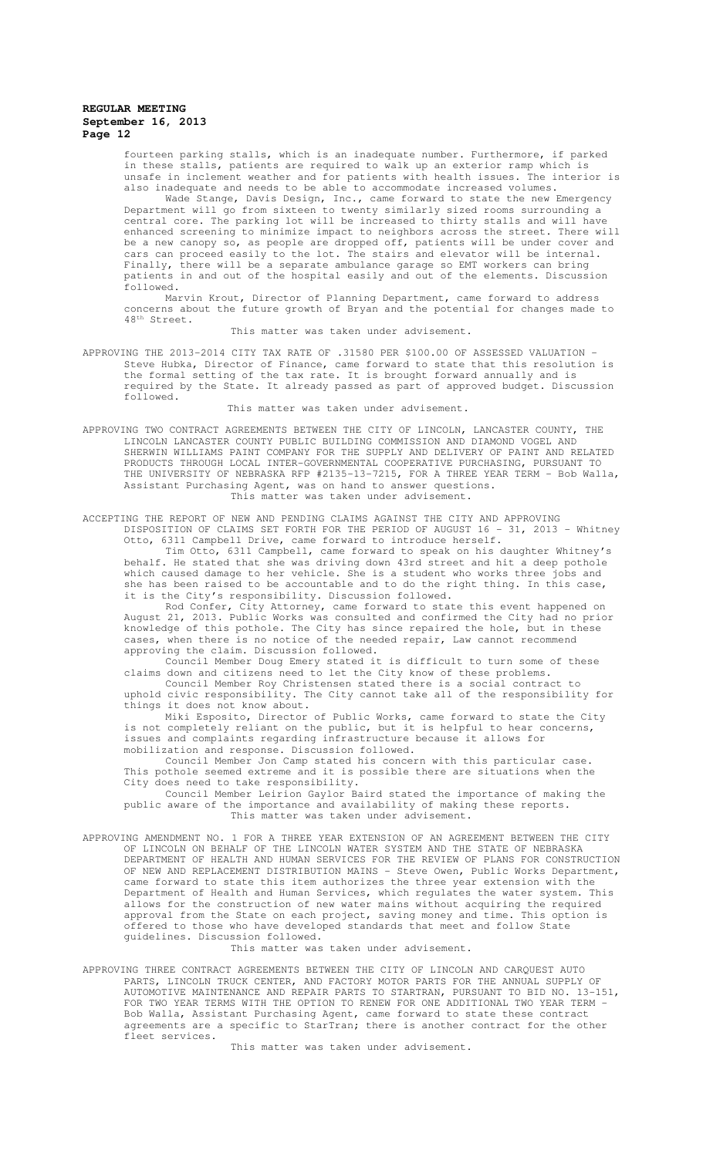fourteen parking stalls, which is an inadequate number. Furthermore, if parked in these stalls, patients are required to walk up an exterior ramp which is unsafe in inclement weather and for patients with health issues. The interior is also inadequate and needs to be able to accommodate increased volumes.

Wade Stange, Davis Design, Inc., came forward to state the new Emergency Department will go from sixteen to twenty similarly sized rooms surrounding a central core. The parking lot will be increased to thirty stalls and will have enhanced screening to minimize impact to neighbors across the street. There will be a new canopy so, as people are dropped off, patients will be under cover and cars can proceed easily to the lot. The stairs and elevator will be internal. Finally, there will be a separate ambulance garage so EMT workers can bring patients in and out of the hospital easily and out of the elements. Discussion followed.

Marvin Krout, Director of Planning Department, came forward to address concerns about the future growth of Bryan and the potential for changes made to 48<sup>th</sup> Street.

This matter was taken under advisement.

APPROVING THE 2013-2014 CITY TAX RATE OF .31580 PER \$100.00 OF ASSESSED VALUATION - Steve Hubka, Director of Finance, came forward to state that this resolution is the formal setting of the tax rate. It is brought forward annually and is required by the State. It already passed as part of approved budget. Discussion followed.

This matter was taken under advisement.

APPROVING TWO CONTRACT AGREEMENTS BETWEEN THE CITY OF LINCOLN, LANCASTER COUNTY, THE LINCOLN LANCASTER COUNTY PUBLIC BUILDING COMMISSION AND DIAMOND VOGEL AND SHERWIN WILLIAMS PAINT COMPANY FOR THE SUPPLY AND DELIVERY OF PAINT AND RELATED PRODUCTS THROUGH LOCAL INTER-GOVERNMENTAL COOPERATIVE PURCHASING, PURSUANT TO THE UNIVERSITY OF NEBRASKA RFP #2135-13-7215, FOR A THREE YEAR TERM - Bob Walla, Assistant Purchasing Agent, was on hand to answer questions. This matter was taken under advisement.

ACCEPTING THE REPORT OF NEW AND PENDING CLAIMS AGAINST THE CITY AND APPROVING DISPOSITION OF CLAIMS SET FORTH FOR THE PERIOD OF AUGUST 16 - 31, 2013 - Whitney Otto, 6311 Campbell Drive, came forward to introduce herself.

Tim Otto, 6311 Campbell, came forward to speak on his daughter Whitney's behalf. He stated that she was driving down 43rd street and hit a deep pothole which caused damage to her vehicle. She is a student who works three jobs and she has been raised to be accountable and to do the right thing. In this case, it is the City's responsibility. Discussion followed.

Rod Confer, City Attorney, came forward to state this event happened on August 21, 2013. Public Works was consulted and confirmed the City had no prior knowledge of this pothole. The City has since repaired the hole, but in these cases, when there is no notice of the needed repair, Law cannot recommend approving the claim. Discussion followed.

Council Member Doug Emery stated it is difficult to turn some of these claims down and citizens need to let the City know of these problems.

Council Member Roy Christensen stated there is a social contract to uphold civic responsibility. The City cannot take all of the responsibility for things it does not know about.

Miki Esposito, Director of Public Works, came forward to state the City is not completely reliant on the public, but it is helpful to hear concerns, issues and complaints regarding infrastructure because it allows for mobilization and response. Discussion followed.

Council Member Jon Camp stated his concern with this particular case. This pothole seemed extreme and it is possible there are situations when the City does need to take responsibility.

Council Member Leirion Gaylor Baird stated the importance of making the public aware of the importance and availability of making these reports. This matter was taken under advisement.

APPROVING AMENDMENT NO. 1 FOR A THREE YEAR EXTENSION OF AN AGREEMENT BETWEEN THE CITY OF LINCOLN ON BEHALF OF THE LINCOLN WATER SYSTEM AND THE STATE OF NEBRASKA DEPARTMENT OF HEALTH AND HUMAN SERVICES FOR THE REVIEW OF PLANS FOR CONSTRUCTION OF NEW AND REPLACEMENT DISTRIBUTION MAINS - Steve Owen, Public Works Department, came forward to state this item authorizes the three year extension with the Department of Health and Human Services, which regulates the water system. This allows for the construction of new water mains without acquiring the required approval from the State on each project, saving money and time. This option is offered to those who have developed standards that meet and follow State guidelines. Discussion followed.

This matter was taken under advisement.

APPROVING THREE CONTRACT AGREEMENTS BETWEEN THE CITY OF LINCOLN AND CARQUEST AUTO PARTS, LINCOLN TRUCK CENTER, AND FACTORY MOTOR PARTS FOR THE ANNUAL SUPPLY OF AUTOMOTIVE MAINTENANCE AND REPAIR PARTS TO STARTRAN, PURSUANT TO BID NO. 13-151, FOR TWO YEAR TERMS WITH THE OPTION TO RENEW FOR ONE ADDITIONAL TWO YEAR TERM - Bob Walla, Assistant Purchasing Agent, came forward to state these contract agreements are a specific to StarTran; there is another contract for the other fleet services.

This matter was taken under advisement.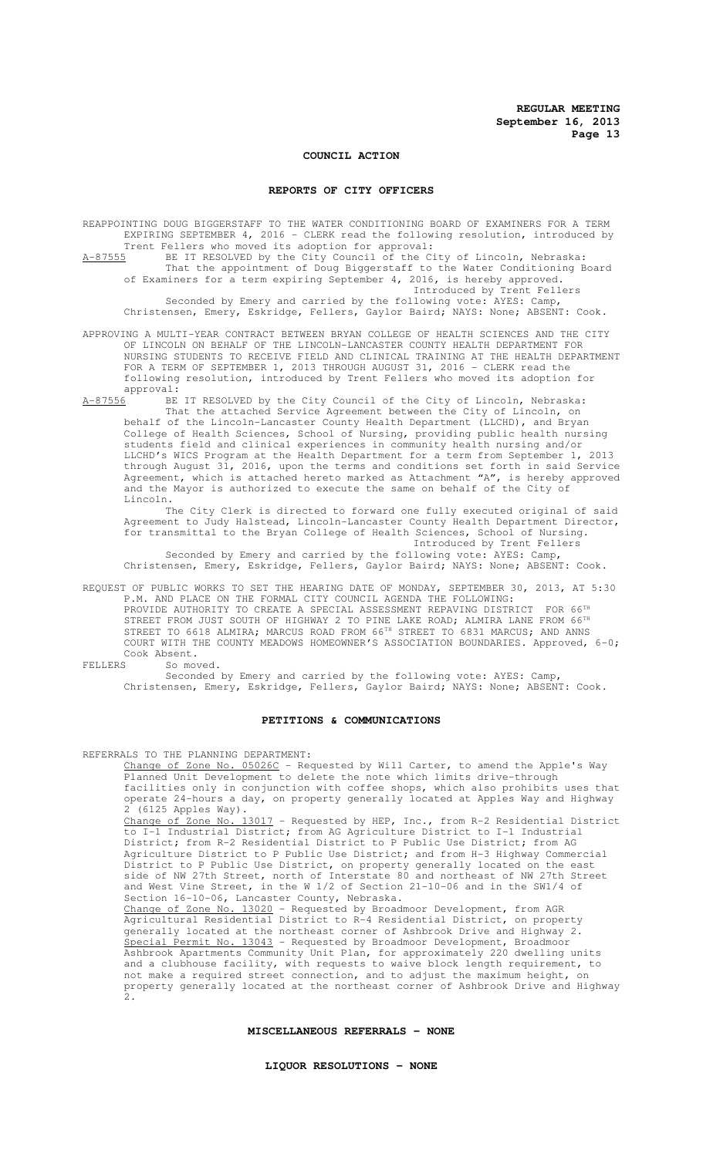## **COUNCIL ACTION**

# **REPORTS OF CITY OFFICERS**

REAPPOINTING DOUG BIGGERSTAFF TO THE WATER CONDITIONING BOARD OF EXAMINERS FOR A TERM EXPIRING SEPTEMBER 4, 2016 - CLERK read the following resolution, introduced by

Trent Fellers who moved its adoption for approval:<br>A-87555 BE IT RESOLVED by the City Council of the C: BE IT RESOLVED by the City Council of the City of Lincoln, Nebraska: That the appointment of Doug Biggerstaff to the Water Conditioning Board of Examiners for a term expiring September 4, 2016, is hereby approved.

Introduced by Trent Fellers Seconded by Emery and carried by the following vote: AYES: Camp, Christensen, Emery, Eskridge, Fellers, Gaylor Baird; NAYS: None; ABSENT: Cook.

APPROVING A MULTI-YEAR CONTRACT BETWEEN BRYAN COLLEGE OF HEALTH SCIENCES AND THE CITY OF LINCOLN ON BEHALF OF THE LINCOLN-LANCASTER COUNTY HEALTH DEPARTMENT FOR NURSING STUDENTS TO RECEIVE FIELD AND CLINICAL TRAINING AT THE HEALTH DEPARTMENT FOR A TERM OF SEPTEMBER 1, 2013 THROUGH AUGUST 31, 2016 - CLERK read the following resolution, introduced by Trent Fellers who moved its adoption for approval:<br> $A-87556$  BE

BE IT RESOLVED by the City Council of the City of Lincoln, Nebraska: That the attached Service Agreement between the City of Lincoln, on

behalf of the Lincoln-Lancaster County Health Department (LLCHD), and Bryan College of Health Sciences, School of Nursing, providing public health nursing students field and clinical experiences in community health nursing and/or LLCHD's WICS Program at the Health Department for a term from September 1, 2013 through August 31, 2016, upon the terms and conditions set forth in said Service Agreement, which is attached hereto marked as Attachment "A", is hereby approved and the Mayor is authorized to execute the same on behalf of the City of Lincoln.

The City Clerk is directed to forward one fully executed original of said Agreement to Judy Halstead, Lincoln-Lancaster County Health Department Director, for transmittal to the Bryan College of Health Sciences, School of Nursing. Introduced by Trent Fellers

Seconded by Emery and carried by the following vote: AYES: Camp, Christensen, Emery, Eskridge, Fellers, Gaylor Baird; NAYS: None; ABSENT: Cook.

REQUEST OF PUBLIC WORKS TO SET THE HEARING DATE OF MONDAY, SEPTEMBER 30, 2013, AT 5:30 P.M. AND PLACE ON THE FORMAL CITY COUNCIL AGENDA THE FOLLOWING: PROVIDE AUTHORITY TO CREATE A SPECIAL ASSESSMENT REPAVING DISTRICT FOR 66<sup>TH</sup> STREET FROM JUST SOUTH OF HIGHWAY 2 TO PINE LAKE ROAD; ALMIRA LANE FROM 66TH STREET TO 6618 ALMIRA; MARCUS ROAD FROM 66TH STREET TO 6831 MARCUS; AND ANNS COURT WITH THE COUNTY MEADOWS HOMEOWNER'S ASSOCIATION BOUNDARIES. Approved, 6-0;

Cook Absent.<br>FELLERS So mov So moved.

> Seconded by Emery and carried by the following vote: AYES: Camp, Christensen, Emery, Eskridge, Fellers, Gaylor Baird; NAYS: None; ABSENT: Cook.

#### **PETITIONS & COMMUNICATIONS**

REFERRALS TO THE PLANNING DEPARTMENT:

Change of Zone No. 05026C - Requested by Will Carter, to amend the Apple's Way Planned Unit Development to delete the note which limits drive-through facilities only in conjunction with coffee shops, which also prohibits uses that operate 24-hours a day, on property generally located at Apples Way and Highway 2 (6125 Apples Way). Change of Zone No. 13017 - Requested by HEP, Inc., from R-2 Residential District to I-1 Industrial District; from AG Agriculture District to I-1 Industrial District; from R-2 Residential District to P Public Use District; from AG Agriculture District to P Public Use District; and from H-3 Highway Commercial District to P Public Use District, on property generally located on the east side of NW 27th Street, north of Interstate 80 and northeast of NW 27th Street and West Vine Street, in the W 1/2 of Section 21-10-06 and in the SW1/4 of Section 16-10-06, Lancaster County, Nebraska. Change of Zone No. 13020 - Requested by Broadmoor Development, from AGR Agricultural Residential District to R-4 Residential District, on property generally located at the northeast corner of Ashbrook Drive and Highway 2.

Special Permit No. 13043 - Requested by Broadmoor Development, Broadmoor Ashbrook Apartments Community Unit Plan, for approximately 220 dwelling units and a clubhouse facility, with requests to waive block length requirement, to not make a required street connection, and to adjust the maximum height, on property generally located at the northeast corner of Ashbrook Drive and Highway 2.

## **MISCELLANEOUS REFERRALS - NONE**

# **LIQUOR RESOLUTIONS - NONE**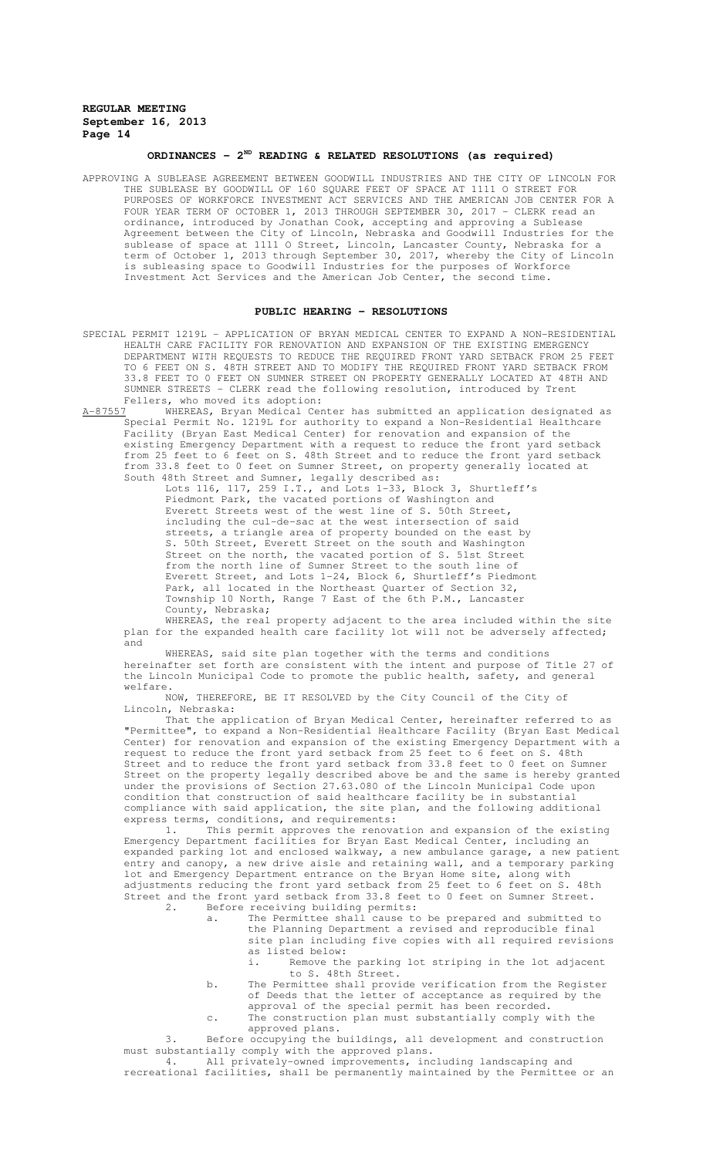# **ORDINANCES - 2ND READING & RELATED RESOLUTIONS (as required)**

APPROVING A SUBLEASE AGREEMENT BETWEEN GOODWILL INDUSTRIES AND THE CITY OF LINCOLN FOR THE SUBLEASE BY GOODWILL OF 160 SQUARE FEET OF SPACE AT 1111 O STREET FOR PURPOSES OF WORKFORCE INVESTMENT ACT SERVICES AND THE AMERICAN JOB CENTER FOR A FOUR YEAR TERM OF OCTOBER 1, 2013 THROUGH SEPTEMBER 30, 2017 - CLERK read an ordinance, introduced by Jonathan Cook, accepting and approving a Sublease Agreement between the City of Lincoln, Nebraska and Goodwill Industries for the sublease of space at 1111 O Street, Lincoln, Lancaster County, Nebraska for a term of October 1, 2013 through September 30, 2017, whereby the City of Lincoln is subleasing space to Goodwill Industries for the purposes of Workforce Investment Act Services and the American Job Center, the second time.

#### **PUBLIC HEARING - RESOLUTIONS**

- SPECIAL PERMIT 1219L APPLICATION OF BRYAN MEDICAL CENTER TO EXPAND A NON-RESIDENTIAL HEALTH CARE FACILITY FOR RENOVATION AND EXPANSION OF THE EXISTING EMERGENCY DEPARTMENT WITH REQUESTS TO REDUCE THE REQUIRED FRONT YARD SETBACK FROM 25 FEET TO 6 FEET ON S. 48TH STREET AND TO MODIFY THE REQUIRED FRONT YARD SETBACK FROM 33.8 FEET TO 0 FEET ON SUMNER STREET ON PROPERTY GENERALLY LOCATED AT 48TH AND SUMNER STREETS - CLERK read the following resolution, introduced by Trent Fellers, who moved its adoption:<br>A-87557 WHEREAS, Bryan Medical Cer
- A-87557 WHEREAS, Bryan Medical Center has submitted an application designated as Special Permit No. 1219L for authority to expand a Non-Residential Healthcare Facility (Bryan East Medical Center) for renovation and expansion of the existing Emergency Department with a request to reduce the front yard setback from 25 feet to 6 feet on S. 48th Street and to reduce the front yard setback from 33.8 feet to 0 feet on Sumner Street, on property generally located at South 48th Street and Sumner, legally described as:

Lots 116, 117, 259 I.T., and Lots 1-33, Block 3, Shurtleff's Piedmont Park, the vacated portions of Washington and Everett Streets west of the west line of S. 50th Street, including the cul-de-sac at the west intersection of said streets, a triangle area of property bounded on the east by S. 50th Street, Everett Street on the south and Washington Street on the north, the vacated portion of S. 51st Street from the north line of Sumner Street to the south line of Everett Street, and Lots 1-24, Block 6, Shurtleff's Piedmont Park, all located in the Northeast Quarter of Section 32, Township 10 North, Range 7 East of the 6th P.M., Lancaster County, Nebraska;

WHEREAS, the real property adjacent to the area included within the site plan for the expanded health care facility lot will not be adversely affected; and

WHEREAS, said site plan together with the terms and conditions hereinafter set forth are consistent with the intent and purpose of Title 27 of the Lincoln Municipal Code to promote the public health, safety, and general welfare.

NOW, THEREFORE, BE IT RESOLVED by the City Council of the City of Lincoln, Nebraska:

That the application of Bryan Medical Center, hereinafter referred to as "Permittee", to expand a Non-Residential Healthcare Facility (Bryan East Medical Center) for renovation and expansion of the existing Emergency Department with a request to reduce the front yard setback from 25 feet to 6 feet on S. 48th Street and to reduce the front yard setback from 33.8 feet to 0 feet on Sumner Street on the property legally described above be and the same is hereby granted under the provisions of Section 27.63.080 of the Lincoln Municipal Code upon condition that construction of said healthcare facility be in substantial compliance with said application, the site plan, and the following additional express terms, conditions, and requirements:

1. This permit approves the renovation and expansion of the existing Emergency Department facilities for Bryan East Medical Center, including an expanded parking lot and enclosed walkway, a new ambulance garage, a new patient<br>entry and canopy, a new drive aisle and retaining wall, and a temporary parking canopy, a new drive aisle and retaining wall, and a temporary parking lot and Emergency Department entrance on the Bryan Home site, along with adjustments reducing the front yard setback from 25 feet to 6 feet on S. 48th Street and the front yard setback from 33.8 feet to 0 feet on Sumner Street.<br>2. Before receiving building permits:

- 2. Before receiving building permits:
	- a. The Permittee shall cause to be prepared and submitted to the Planning Department a revised and reproducible final site plan including five copies with all required revisions as listed below:
		- i. Remove the parking lot striping in the lot adjacent to S. 48th Street.
	- b. The Permittee shall provide verification from the Register of Deeds that the letter of acceptance as required by the approval of the special permit has been recorded.
	- c. The construction plan must substantially comply with the approved plans.

3. Before occupying the buildings, all development and construction must substantially comply with the approved plans.

4. All privately-owned improvements, including landscaping and recreational facilities, shall be permanently maintained by the Permittee or an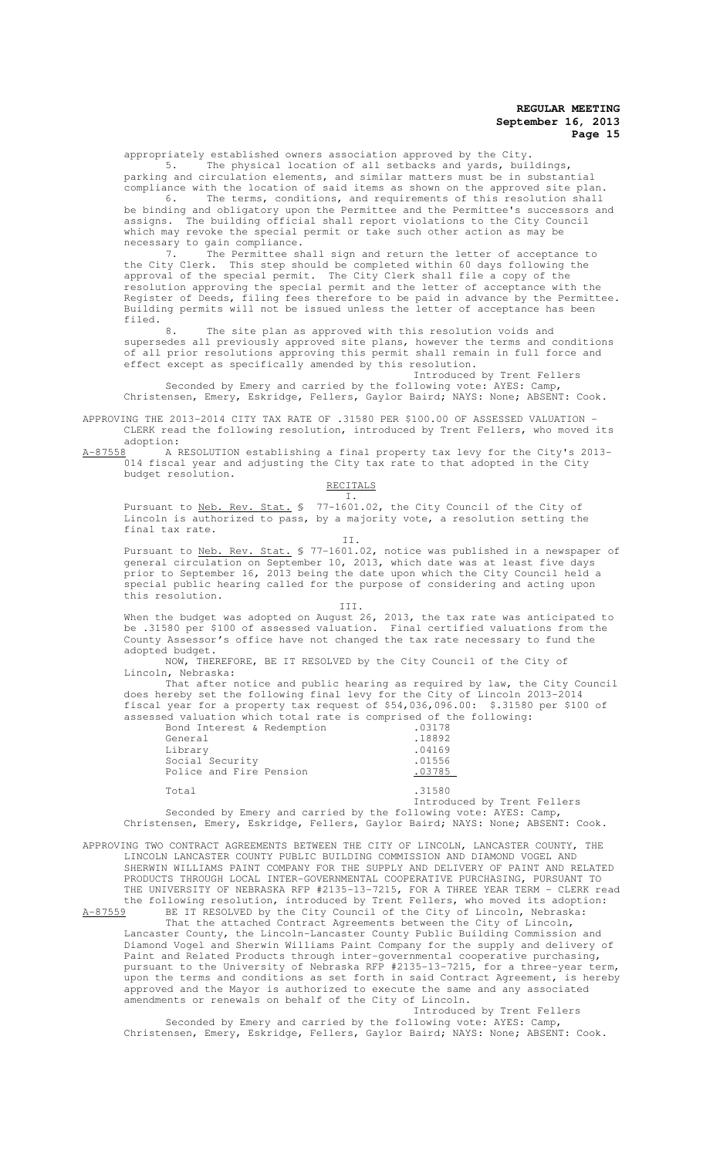appropriately established owners association approved by the City.

5. The physical location of all setbacks and yards, buildings, parking and circulation elements, and similar matters must be in substantial compliance with the location of said items as shown on the approved site plan. 6. The terms, conditions, and requirements of this resolution shall

be binding and obligatory upon the Permittee and the Permittee's successors and assigns. The building official shall report violations to the City Council which may revoke the special permit or take such other action as may be necessary to gain compliance.

7. The Permittee shall sign and return the letter of acceptance to the City Clerk. This step should be completed within 60 days following the approval of the special permit. The City Clerk shall file a copy of the resolution approving the special permit and the letter of acceptance with the Register of Deeds, filing fees therefore to be paid in advance by the Permittee. Building permits will not be issued unless the letter of acceptance has been filed.

The site plan as approved with this resolution voids and supersedes all previously approved site plans, however the terms and conditions of all prior resolutions approving this permit shall remain in full force and effect except as specifically amended by this resolution.

Introduced by Trent Fellers Seconded by Emery and carried by the following vote: AYES: Camp, Christensen, Emery, Eskridge, Fellers, Gaylor Baird; NAYS: None; ABSENT: Cook.

APPROVING THE 2013-2014 CITY TAX RATE OF .31580 PER \$100.00 OF ASSESSED VALUATION - CLERK read the following resolution, introduced by Trent Fellers, who moved its

adoption:<br>A-87558 A B A RESOLUTION establishing a final property tax levy for the City's 2013-014 fiscal year and adjusting the City tax rate to that adopted in the City budget resolution.

RECITALS I.

Pursuant to Neb. Rev. Stat. § 77-1601.02, the City Council of the City of Lincoln is authorized to pass, by a majority vote, a resolution setting the final tax rate.

II.

Pursuant to Neb. Rev. Stat. § 77-1601.02, notice was published in a newspaper of general circulation on September 10, 2013, which date was at least five days prior to September 16, 2013 being the date upon which the City Council held a special public hearing called for the purpose of considering and acting upon this resolution. III.

When the budget was adopted on August 26, 2013, the tax rate was anticipated to be .31580 per \$100 of assessed valuation. Final certified valuations from the County Assessor's office have not changed the tax rate necessary to fund the adopted budget.

NOW, THEREFORE, BE IT RESOLVED by the City Council of the City of Lincoln, Nebraska:

That after notice and public hearing as required by law, the City Council does hereby set the following final levy for the City of Lincoln 2013-2014 fiscal year for a property tax request of \$54,036,096.00: \$.31580 per \$100 of assessed valuation which total rate is comprised of the following:

| Bond Interest & Redemption | .03178 |
|----------------------------|--------|
| General                    | .18892 |
| Library                    | .04169 |
| Social Security            | .01556 |
| Police and Fire Pension    | .03785 |
| Total                      | .31580 |
|                            |        |

Introduced by Trent Fellers Seconded by Emery and carried by the following vote: AYES: Camp, Christensen, Emery, Eskridge, Fellers, Gaylor Baird; NAYS: None; ABSENT: Cook.

APPROVING TWO CONTRACT AGREEMENTS BETWEEN THE CITY OF LINCOLN, LANCASTER COUNTY, THE LINCOLN LANCASTER COUNTY PUBLIC BUILDING COMMISSION AND DIAMOND VOGEL AND SHERWIN WILLIAMS PAINT COMPANY FOR THE SUPPLY AND DELIVERY OF PAINT AND RELATED PRODUCTS THROUGH LOCAL INTER-GOVERNMENTAL COOPERATIVE PURCHASING, PURSUANT TO THE UNIVERSITY OF NEBRASKA RFP #2135-13-7215, FOR A THREE YEAR TERM - CLERK read the following resolution, introduced by Trent Fellers, who moved its adoption:<br>A-87559 BE IT RESOLVED by the City Council of the City of Lincoln, Nebraska:

A-87559 BE IT RESOLVED by the City Council of the City of Lincoln, Nebraska: That the attached Contract Agreements between the City of Lincoln, Lancaster County, the Lincoln-Lancaster County Public Building Commission and Diamond Vogel and Sherwin Williams Paint Company for the supply and delivery of Paint and Related Products through inter-governmental cooperative purchasing, pursuant to the University of Nebraska RFP #2135-13-7215, for a three-year term, upon the terms and conditions as set forth in said Contract Agreement, is hereby approved and the Mayor is authorized to execute the same and any associated amendments or renewals on behalf of the City of Lincoln.

Introduced by Trent Fellers Seconded by Emery and carried by the following vote: AYES: Camp, Christensen, Emery, Eskridge, Fellers, Gaylor Baird; NAYS: None; ABSENT: Cook.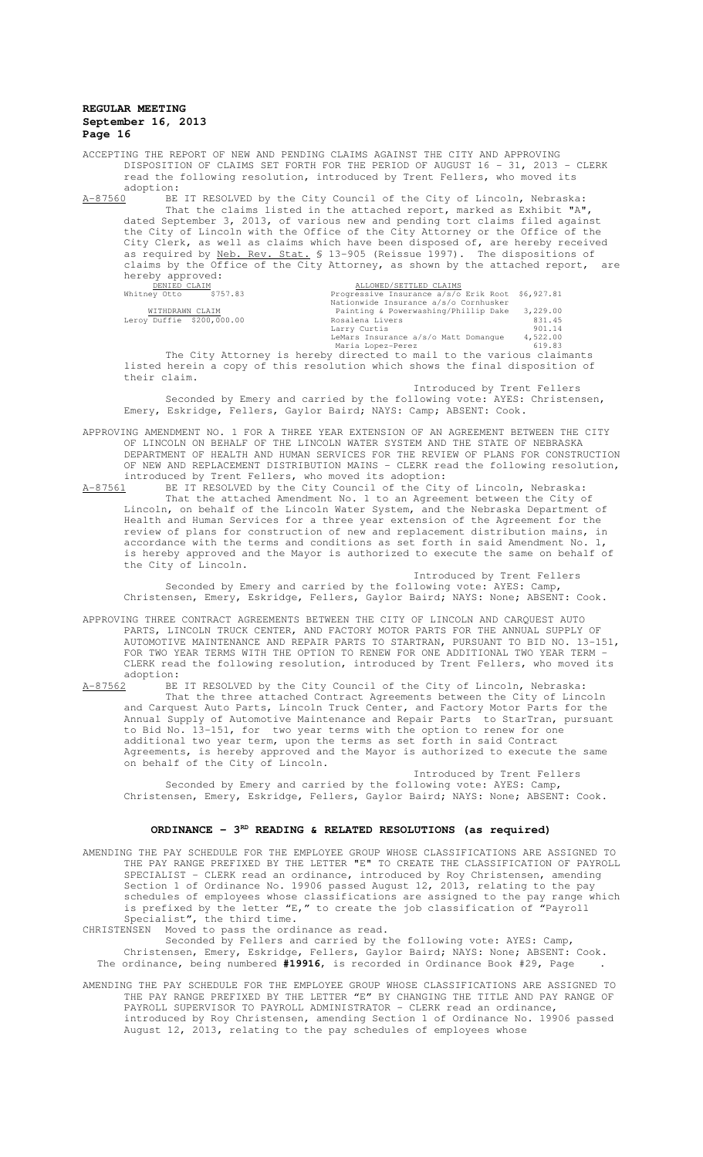ACCEPTING THE REPORT OF NEW AND PENDING CLAIMS AGAINST THE CITY AND APPROVING DISPOSITION OF CLAIMS SET FORTH FOR THE PERIOD OF AUGUST 16 - 31, 2013 - CLERK read the following resolution, introduced by Trent Fellers, who moved its adoption:<br><u>A-87560</u> BE

A-87560 BE IT RESOLVED by the City Council of the City of Lincoln, Nebraska: That the claims listed in the attached report, marked as Exhibit "A", dated September 3, 2013, of various new and pending tort claims filed against the City of Lincoln with the Office of the City Attorney or the Office of the City Clerk, as well as claims which have been disposed of, are hereby received as required by Neb. Rev. Stat. \$ 13-905 (Reissue 1997). The dispositions of claims by the Office of the City Attorney, as shown by the attached report, are hereby approved:

| DENIED CLAIM              | ALLOWED/SETTLED CLAIMS                                              |          |
|---------------------------|---------------------------------------------------------------------|----------|
| Whitney Otto<br>\$757.83  | Progressive Insurance a/s/o Erik Root \$6,927.81                    |          |
|                           | Nationwide Insurance a/s/o Cornhusker                               |          |
| WITHDRAWN CLAIM           | Painting & Powerwashing/Phillip Dake                                | 3,229.00 |
| Leroy Duffie \$200,000.00 | Rosalena Livers                                                     | 831.45   |
|                           | Larry Curtis                                                        | 901.14   |
|                           | LeMars Insurance a/s/o Matt Domanque                                | 4,522.00 |
|                           | Maria Lopez-Perez                                                   | 619.83   |
|                           | The City Atterney is bereby directed to mail to the various glaimar |          |

The City Attorney is hereby directed to mail to the various claimants listed herein a copy of this resolution which shows the final disposition of their claim.

Introduced by Trent Fellers

Seconded by Emery and carried by the following vote: AYES: Christensen, Emery, Eskridge, Fellers, Gaylor Baird; NAYS: Camp; ABSENT: Cook.

- APPROVING AMENDMENT NO. 1 FOR A THREE YEAR EXTENSION OF AN AGREEMENT BETWEEN THE CITY OF LINCOLN ON BEHALF OF THE LINCOLN WATER SYSTEM AND THE STATE OF NEBRASKA DEPARTMENT OF HEALTH AND HUMAN SERVICES FOR THE REVIEW OF PLANS FOR CONSTRUCTION OF NEW AND REPLACEMENT DISTRIBUTION MAINS - CLERK read the following resolution, introduced by Trent Fellers, who moved its adoption:<br>A-87561 BE IT RESOLVED by the City Council of the City
- A-87561 BE IT RESOLVED by the City Council of the City of Lincoln, Nebraska: That the attached Amendment No. 1 to an Agreement between the City of Lincoln, on behalf of the Lincoln Water System, and the Nebraska Department of Health and Human Services for a three year extension of the Agreement for the review of plans for construction of new and replacement distribution mains, in accordance with the terms and conditions as set forth in said Amendment No. 1, is hereby approved and the Mayor is authorized to execute the same on behalf of the City of Lincoln. Introduced by Trent Fellers

Seconded by Emery and carried by the following vote: AYES: Camp, Christensen, Emery, Eskridge, Fellers, Gaylor Baird; NAYS: None; ABSENT: Cook.

- APPROVING THREE CONTRACT AGREEMENTS BETWEEN THE CITY OF LINCOLN AND CARQUEST AUTO PARTS, LINCOLN TRUCK CENTER, AND FACTORY MOTOR PARTS FOR THE ANNUAL SUPPLY OF AUTOMOTIVE MAINTENANCE AND REPAIR PARTS TO STARTRAN, PURSUANT TO BID NO. 13-151, FOR TWO YEAR TERMS WITH THE OPTION TO RENEW FOR ONE ADDITIONAL TWO YEAR TERM - CLERK read the following resolution, introduced by Trent Fellers, who moved its adoption:<br><u>A-87562</u> BE
- BE IT RESOLVED by the City Council of the City of Lincoln, Nebraska: That the three attached Contract Agreements between the City of Lincoln and Carquest Auto Parts, Lincoln Truck Center, and Factory Motor Parts for the Annual Supply of Automotive Maintenance and Repair Parts to StarTran, pursuant to Bid No. 13-151, for two year terms with the option to renew for one additional two year term, upon the terms as set forth in said Contract Agreements, is hereby approved and the Mayor is authorized to execute the same on behalf of the City of Lincoln.

Introduced by Trent Fellers Seconded by Emery and carried by the following vote: AYES: Camp, Christensen, Emery, Eskridge, Fellers, Gaylor Baird; NAYS: None; ABSENT: Cook.

## ORDINANCE - 3<sup>RD</sup> READING & RELATED RESOLUTIONS (as required)

AMENDING THE PAY SCHEDULE FOR THE EMPLOYEE GROUP WHOSE CLASSIFICATIONS ARE ASSIGNED TO THE PAY RANGE PREFIXED BY THE LETTER "E" TO CREATE THE CLASSIFICATION OF PAYROLL SPECIALIST - CLERK read an ordinance, introduced by Roy Christensen, amending Section 1 of Ordinance No. 19906 passed August 12, 2013, relating to the pay schedules of employees whose classifications are assigned to the pay range which is prefixed by the letter "E," to create the job classification of "Payroll Specialist", the third time.

CHRISTENSEN Moved to pass the ordinance as read.

Seconded by Fellers and carried by the following vote: AYES: Camp, Christensen, Emery, Eskridge, Fellers, Gaylor Baird; NAYS: None; ABSENT: Cook. The ordinance, being numbered **#19916**, is recorded in Ordinance Book #29, Page .

AMENDING THE PAY SCHEDULE FOR THE EMPLOYEE GROUP WHOSE CLASSIFICATIONS ARE ASSIGNED TO THE PAY RANGE PREFIXED BY THE LETTER "E" BY CHANGING THE TITLE AND PAY RANGE OF PAYROLL SUPERVISOR TO PAYROLL ADMINISTRATOR - CLERK read an ordinance, introduced by Roy Christensen, amending Section 1 of Ordinance No. 19906 passed August 12, 2013, relating to the pay schedules of employees whose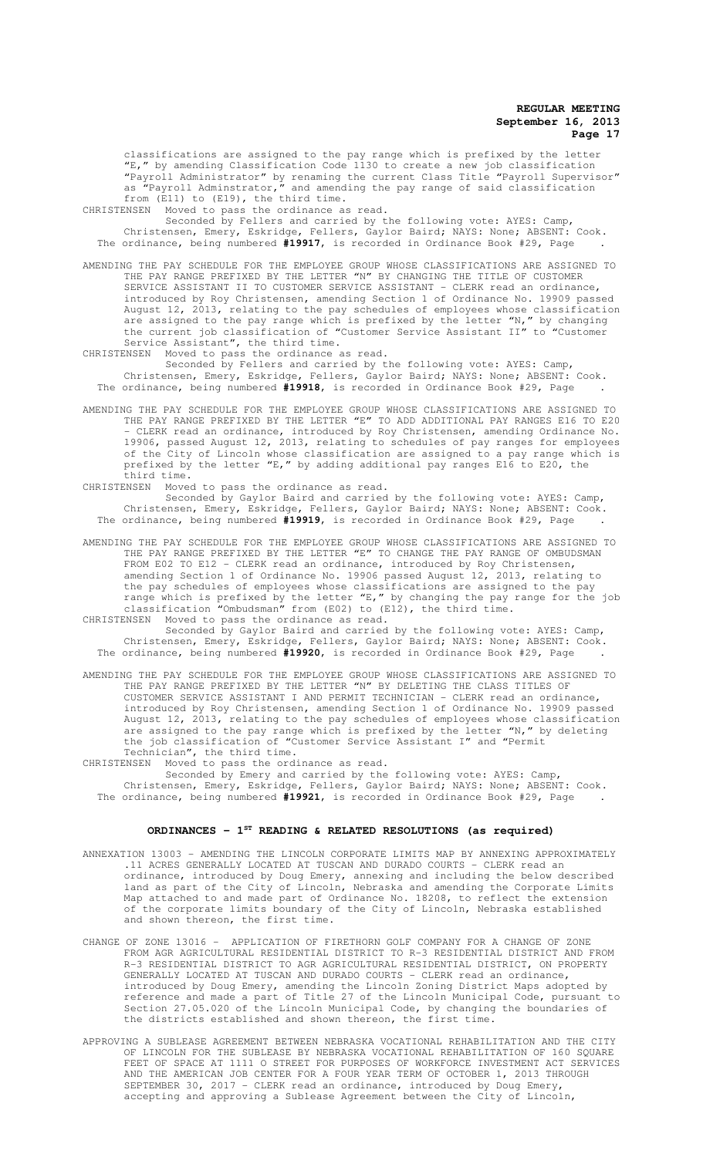classifications are assigned to the pay range which is prefixed by the letter "E," by amending Classification Code 1130 to create a new job classification "Payroll Administrator" by renaming the current Class Title "Payroll Supervisor" as "Payroll Adminstrator," and amending the pay range of said classification from (E11) to (E19), the third time.

CHRISTENSEN Moved to pass the ordinance as read.

Seconded by Fellers and carried by the following vote: AYES: Camp, Christensen, Emery, Eskridge, Fellers, Gaylor Baird; NAYS: None; ABSENT: Cook. The ordinance, being numbered **#19917**, is recorded in Ordinance Book #29, Page .

AMENDING THE PAY SCHEDULE FOR THE EMPLOYEE GROUP WHOSE CLASSIFICATIONS ARE ASSIGNED TO THE PAY RANGE PREFIXED BY THE LETTER "N" BY CHANGING THE TITLE OF CUSTOMER SERVICE ASSISTANT II TO CUSTOMER SERVICE ASSISTANT - CLERK read an ordinance, introduced by Roy Christensen, amending Section 1 of Ordinance No. 19909 passed August 12, 2013, relating to the pay schedules of employees whose classification are assigned to the pay range which is prefixed by the letter "N," by changing the current job classification of "Customer Service Assistant II" to "Customer Service Assistant", the third time.

CHRISTENSEN Moved to pass the ordinance as read.

Seconded by Fellers and carried by the following vote: AYES: Camp, Christensen, Emery, Eskridge, Fellers, Gaylor Baird; NAYS: None; ABSENT: Cook. The ordinance, being numbered **#19918**, is recorded in Ordinance Book #29, Page .

AMENDING THE PAY SCHEDULE FOR THE EMPLOYEE GROUP WHOSE CLASSIFICATIONS ARE ASSIGNED TO THE PAY RANGE PREFIXED BY THE LETTER "E" TO ADD ADDITIONAL PAY RANGES E16 TO E20 CLERK read an ordinance, introduced by Roy Christensen, amending Ordinance No. 19906, passed August 12, 2013, relating to schedules of pay ranges for employees of the City of Lincoln whose classification are assigned to a pay range which is prefixed by the letter "E," by adding additional pay ranges E16 to E20, the third time.<br>CHRISTENSEN Moved

Moved to pass the ordinance as read.

Seconded by Gaylor Baird and carried by the following vote: AYES: Camp, Christensen, Emery, Eskridge, Fellers, Gaylor Baird; NAYS: None; ABSENT: Cook. The ordinance, being numbered **#19919**, is recorded in Ordinance Book #29, Page .

AMENDING THE PAY SCHEDULE FOR THE EMPLOYEE GROUP WHOSE CLASSIFICATIONS ARE ASSIGNED TO THE PAY RANGE PREFIXED BY THE LETTER "E" TO CHANGE THE PAY RANGE OF OMBUDSMAN FROM E02 TO E12 - CLERK read an ordinance, introduced by Roy Christensen, amending Section 1 of Ordinance No. 19906 passed August 12, 2013, relating to the pay schedules of employees whose classifications are assigned to the pay range which is prefixed by the letter "E," by changing the pay range for the job classification "Ombudsman" from (E02) to (E12), the third time.

CHRISTENSEN Moved to pass the ordinance as read. Seconded by Gaylor Baird and carried by the following vote: AYES: Camp, Christensen, Emery, Eskridge, Fellers, Gaylor Baird; NAYS: None; ABSENT: Cook. The ordinance, being numbered **#19920**, is recorded in Ordinance Book #29, Page .

AMENDING THE PAY SCHEDULE FOR THE EMPLOYEE GROUP WHOSE CLASSIFICATIONS ARE ASSIGNED TO THE PAY RANGE PREFIXED BY THE LETTER "N" BY DELETING THE CLASS TITLES OF CUSTOMER SERVICE ASSISTANT I AND PERMIT TECHNICIAN - CLERK read an ordinance, introduced by Roy Christensen, amending Section 1 of Ordinance No. 19909 passed August 12, 2013, relating to the pay schedules of employees whose classification are assigned to the pay range which is prefixed by the letter "N," by deleting the job classification of "Customer Service Assistant I" and "Permit Technician", the third time.

CHRISTENSEN Moved to pass the ordinance as read.

Seconded by Emery and carried by the following vote: AYES: Camp, Christensen, Emery, Eskridge, Fellers, Gaylor Baird; NAYS: None; ABSENT: Cook. The ordinance, being numbered **#19921**, is recorded in Ordinance Book #29, Page .

# **ORDINANCES - 1ST READING & RELATED RESOLUTIONS (as required)**

- ANNEXATION 13003 AMENDING THE LINCOLN CORPORATE LIMITS MAP BY ANNEXING APPROXIMATELY .11 ACRES GENERALLY LOCATED AT TUSCAN AND DURADO COURTS - CLERK read an ordinance, introduced by Doug Emery, annexing and including the below described land as part of the City of Lincoln, Nebraska and amending the Corporate Limits Map attached to and made part of Ordinance No. 18208, to reflect the extension of the corporate limits boundary of the City of Lincoln, Nebraska established and shown thereon, the first time.
- CHANGE OF ZONE 13016 APPLICATION OF FIRETHORN GOLF COMPANY FOR A CHANGE OF ZONE FROM AGR AGRICULTURAL RESIDENTIAL DISTRICT TO R-3 RESIDENTIAL DISTRICT AND FROM R-3 RESIDENTIAL DISTRICT TO AGR AGRICULTURAL RESIDENTIAL DISTRICT, ON PROPERTY GENERALLY LOCATED AT TUSCAN AND DURADO COURTS - CLERK read an ordinance, introduced by Doug Emery, amending the Lincoln Zoning District Maps adopted by reference and made a part of Title 27 of the Lincoln Municipal Code, pursuant to Section 27.05.020 of the Lincoln Municipal Code, by changing the boundaries of the districts established and shown thereon, the first time.
- APPROVING A SUBLEASE AGREEMENT BETWEEN NEBRASKA VOCATIONAL REHABILITATION AND THE CITY OF LINCOLN FOR THE SUBLEASE BY NEBRASKA VOCATIONAL REHABILITATION OF 160 SQUARE FEET OF SPACE AT 1111 O STREET FOR PURPOSES OF WORKFORCE INVESTMENT ACT SERVICES AND THE AMERICAN JOB CENTER FOR A FOUR YEAR TERM OF OCTOBER 1, 2013 THROUGH SEPTEMBER 30, 2017 - CLERK read an ordinance, introduced by Doug Emery, accepting and approving a Sublease Agreement between the City of Lincoln,